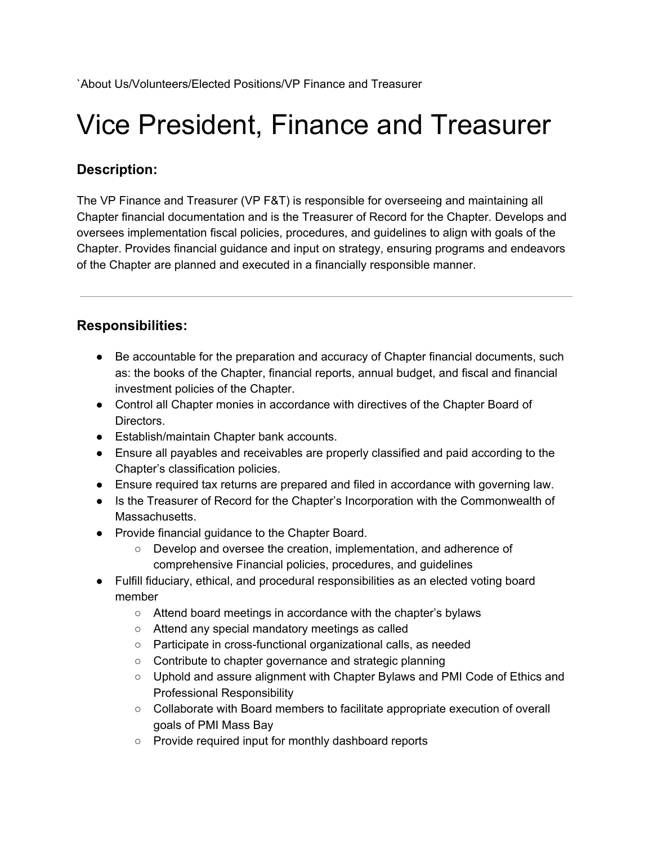# Vice President, Finance and Treasurer

# **Description:**

The VP Finance and Treasurer (VP F&T) is responsible for overseeing and maintaining all Chapter financial documentation and is the Treasurer of Record for the Chapter. Develops and oversees implementation fiscal policies, procedures, and guidelines to align with goals of the Chapter. Provides financial guidance and input on strategy, ensuring programs and endeavors of the Chapter are planned and executed in a financially responsible manner.

## **Responsibilities:**

- Be accountable for the preparation and accuracy of Chapter financial documents, such as: the books of the Chapter, financial reports, annual budget, and fiscal and financial investment policies of the Chapter.
- Control all Chapter monies in accordance with directives of the Chapter Board of Directors.
- Establish/maintain Chapter bank accounts.
- Ensure all payables and receivables are properly classified and paid according to the Chapter's classification policies.
- Ensure required tax returns are prepared and filed in accordance with governing law.
- Is the Treasurer of Record for the Chapter's Incorporation with the Commonwealth of Massachusetts.
- Provide financial guidance to the Chapter Board.
	- Develop and oversee the creation, implementation, and adherence of comprehensive Financial policies, procedures, and guidelines
- Fulfill fiduciary, ethical, and procedural responsibilities as an elected voting board member
	- Attend board meetings in accordance with the chapter's bylaws
	- Attend any special mandatory meetings as called
	- Participate in cross-functional organizational calls, as needed
	- Contribute to chapter governance and strategic planning
	- Uphold and assure alignment with Chapter Bylaws and PMI Code of Ethics and Professional Responsibility
	- Collaborate with Board members to facilitate appropriate execution of overall goals of PMI Mass Bay
	- Provide required input for monthly dashboard reports